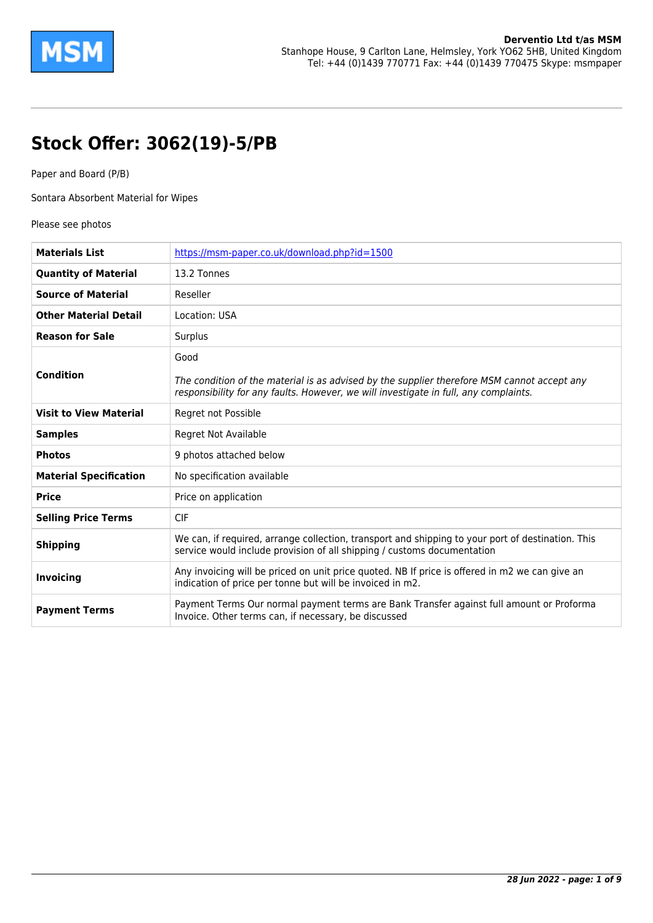

## **Stock Offer: 3062(19)-5/PB**

Paper and Board (P/B)

Sontara Absorbent Material for Wipes

Please see photos

| <b>Materials List</b>         | https://msm-paper.co.uk/download.php?id=1500                                                                                                                                        |
|-------------------------------|-------------------------------------------------------------------------------------------------------------------------------------------------------------------------------------|
| <b>Quantity of Material</b>   | 13.2 Tonnes                                                                                                                                                                         |
| <b>Source of Material</b>     | Reseller                                                                                                                                                                            |
| <b>Other Material Detail</b>  | Location: USA                                                                                                                                                                       |
| <b>Reason for Sale</b>        | Surplus                                                                                                                                                                             |
| <b>Condition</b>              | Good                                                                                                                                                                                |
|                               | The condition of the material is as advised by the supplier therefore MSM cannot accept any<br>responsibility for any faults. However, we will investigate in full, any complaints. |
| <b>Visit to View Material</b> | Regret not Possible                                                                                                                                                                 |
| <b>Samples</b>                | Regret Not Available                                                                                                                                                                |
| <b>Photos</b>                 | 9 photos attached below                                                                                                                                                             |
| <b>Material Specification</b> | No specification available                                                                                                                                                          |
| <b>Price</b>                  | Price on application                                                                                                                                                                |
| <b>Selling Price Terms</b>    | <b>CIF</b>                                                                                                                                                                          |
| <b>Shipping</b>               | We can, if required, arrange collection, transport and shipping to your port of destination. This<br>service would include provision of all shipping / customs documentation        |
| <b>Invoicing</b>              | Any invoicing will be priced on unit price quoted. NB If price is offered in m2 we can give an<br>indication of price per tonne but will be invoiced in m2.                         |
| <b>Payment Terms</b>          | Payment Terms Our normal payment terms are Bank Transfer against full amount or Proforma<br>Invoice. Other terms can, if necessary, be discussed                                    |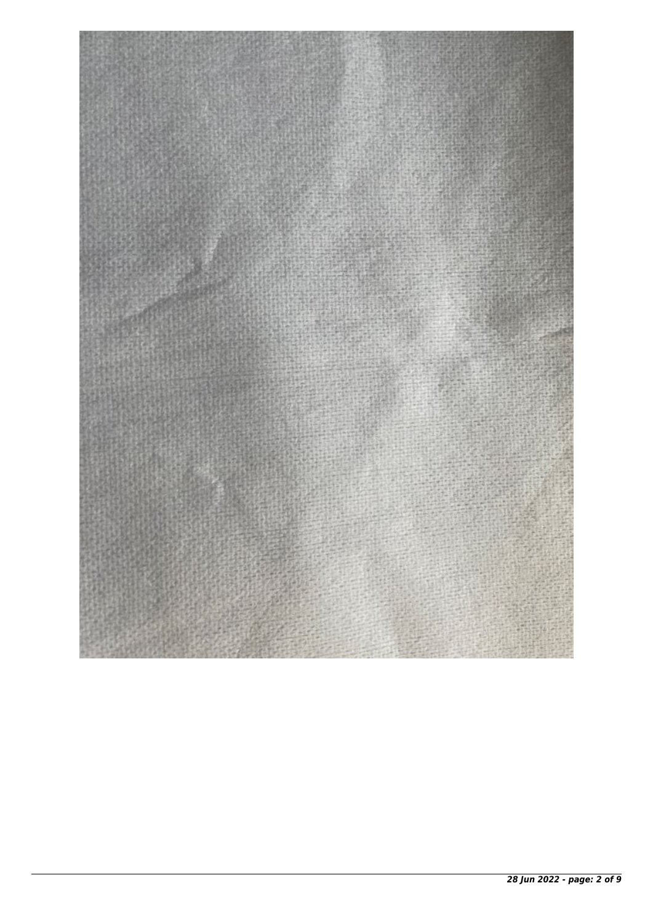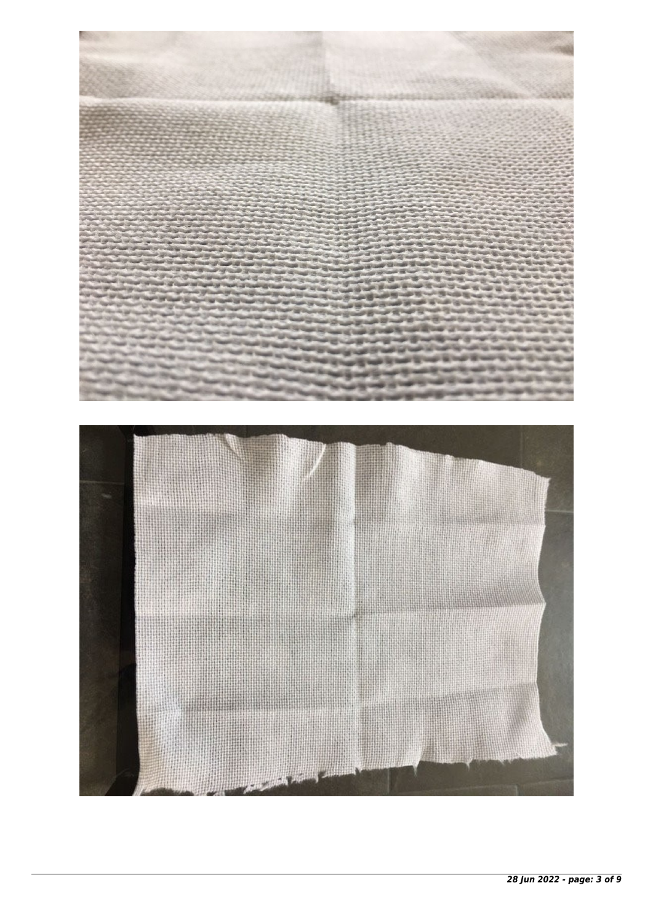

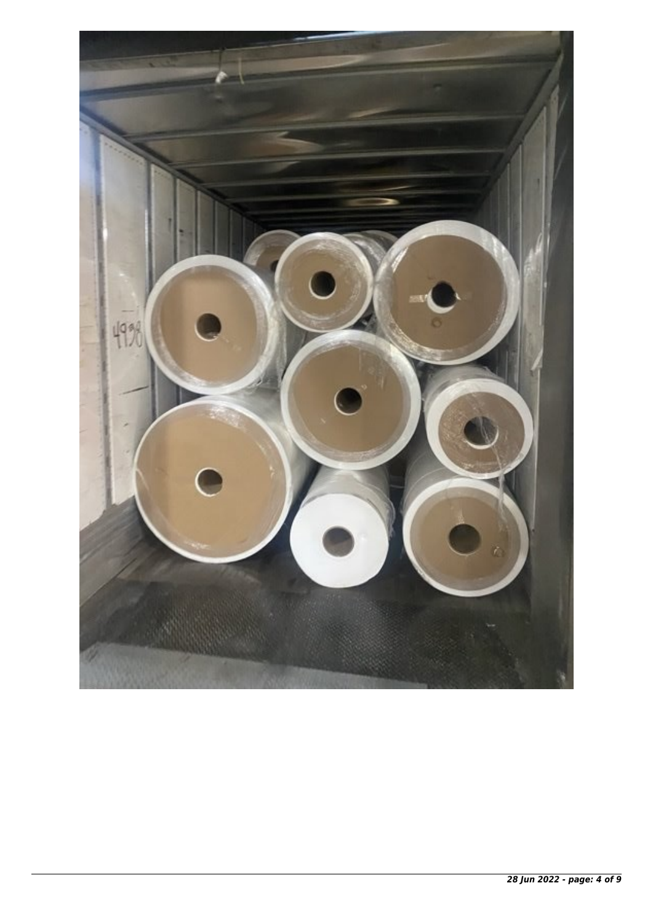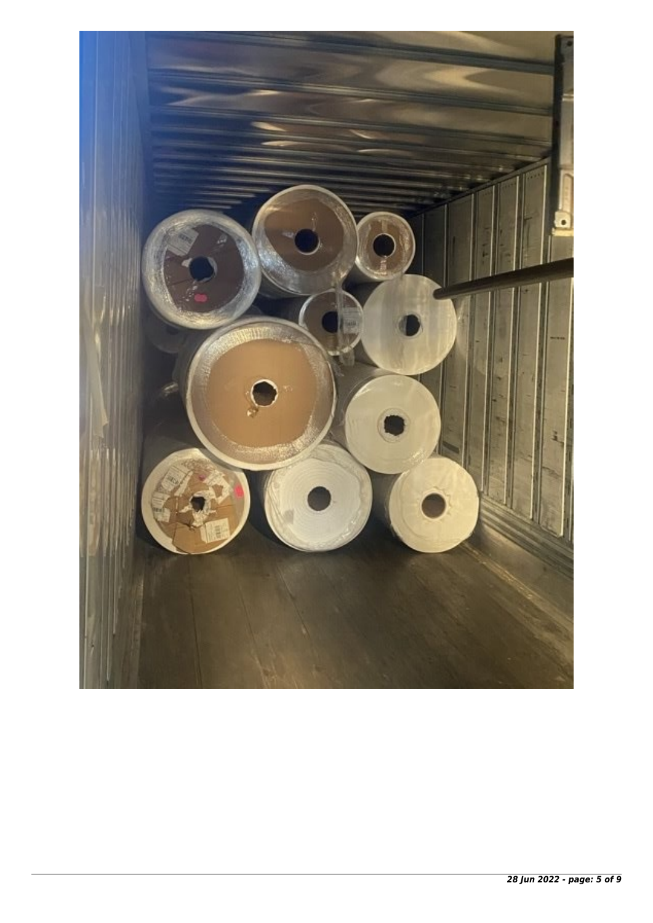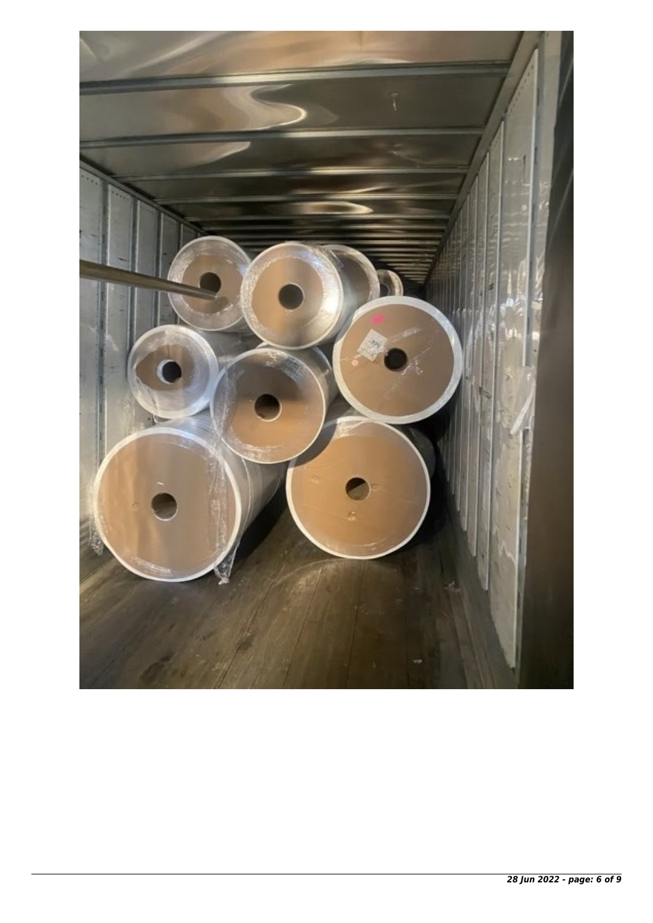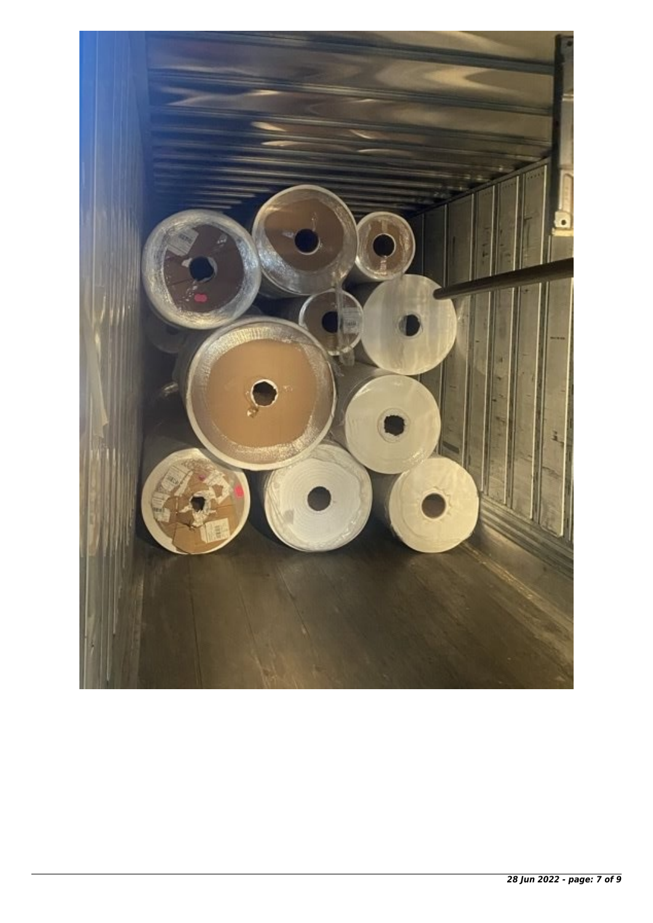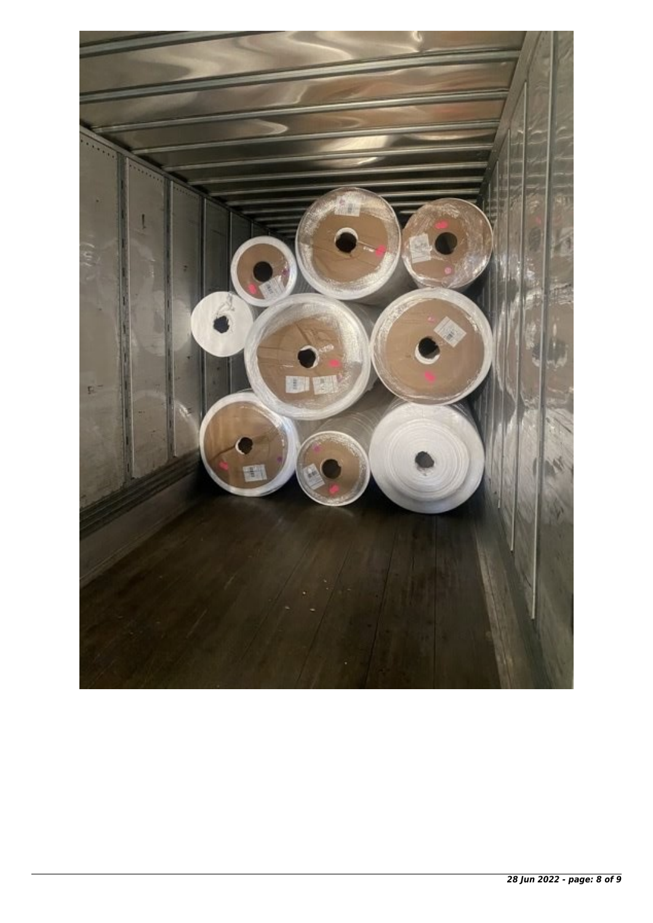